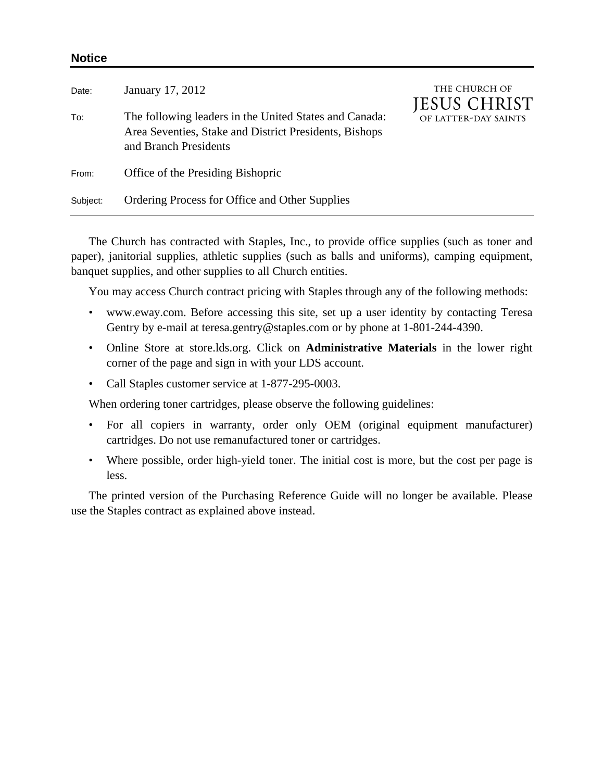| Date:    | January 17, 2012                                                                                                                          | THE CHURCH OF<br>JESUS CHRIST<br>OF LATTER-DAY SAINTS |
|----------|-------------------------------------------------------------------------------------------------------------------------------------------|-------------------------------------------------------|
| To:      | The following leaders in the United States and Canada:<br>Area Seventies, Stake and District Presidents, Bishops<br>and Branch Presidents |                                                       |
| From:    | Office of the Presiding Bishopric                                                                                                         |                                                       |
| Subject: | Ordering Process for Office and Other Supplies                                                                                            |                                                       |

The Church has contracted with Staples, Inc., to provide office supplies (such as toner and paper), janitorial supplies, athletic supplies (such as balls and uniforms), camping equipment, banquet supplies, and other supplies to all Church entities.

You may access Church contract pricing with Staples through any of the following methods:

- www.eway.com. Before accessing this site, set up a user identity by contacting Teresa Gentry by e-mail at teresa.gentry@staples.com or by phone at 1-801-244-4390.
- Online Store at store.lds.org. Click on **Administrative Materials** in the lower right corner of the page and sign in with your LDS account.
- Call Staples customer service at 1-877-295-0003.

When ordering toner cartridges, please observe the following guidelines:

- For all copiers in warranty, order only OEM (original equipment manufacturer) cartridges. Do not use remanufactured toner or cartridges.
- Where possible, order high-yield toner. The initial cost is more, but the cost per page is less.

The printed version of the Purchasing Reference Guide will no longer be available. Please use the Staples contract as explained above instead.

## **Notice**